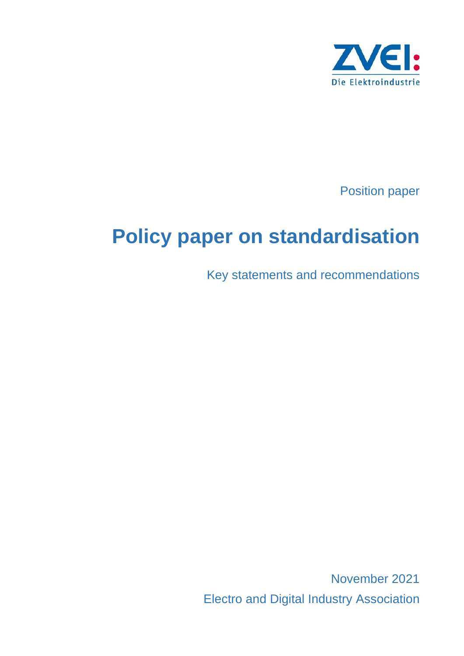

Position paper

# **Policy paper on standardisation**

Key statements and recommendations

November 2021 Electro and Digital Industry Association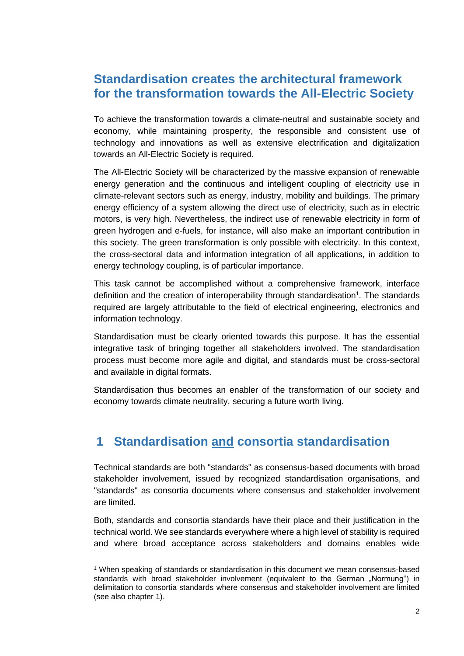### **Standardisation creates the architectural framework for the transformation towards the All-Electric Society**

To achieve the transformation towards a climate-neutral and sustainable society and economy, while maintaining prosperity, the responsible and consistent use of technology and innovations as well as extensive electrification and digitalization towards an All-Electric Society is required.

The All-Electric Society will be characterized by the massive expansion of renewable energy generation and the continuous and intelligent coupling of electricity use in climate-relevant sectors such as energy, industry, mobility and buildings. The primary energy efficiency of a system allowing the direct use of electricity, such as in electric motors, is very high. Nevertheless, the indirect use of renewable electricity in form of green hydrogen and e-fuels, for instance, will also make an important contribution in this society. The green transformation is only possible with electricity. In this context, the cross-sectoral data and information integration of all applications, in addition to energy technology coupling, is of particular importance.

This task cannot be accomplished without a comprehensive framework, interface definition and the creation of interoperability through standardisation<sup>1</sup>. The standards required are largely attributable to the field of electrical engineering, electronics and information technology.

Standardisation must be clearly oriented towards this purpose. It has the essential integrative task of bringing together all stakeholders involved. The standardisation process must become more agile and digital, and standards must be cross-sectoral and available in digital formats.

Standardisation thus becomes an enabler of the transformation of our society and economy towards climate neutrality, securing a future worth living.

## **1 Standardisation and consortia standardisation**

Technical standards are both "standards" as consensus-based documents with broad stakeholder involvement, issued by recognized standardisation organisations, and "standards" as consortia documents where consensus and stakeholder involvement are limited.

Both, standards and consortia standards have their place and their justification in the technical world. We see standards everywhere where a high level of stability is required and where broad acceptance across stakeholders and domains enables wide

<sup>1</sup> When speaking of standards or standardisation in this document we mean consensus-based standards with broad stakeholder involvement (equivalent to the German "Normung") in delimitation to consortia standards where consensus and stakeholder involvement are limited (see also chapter 1).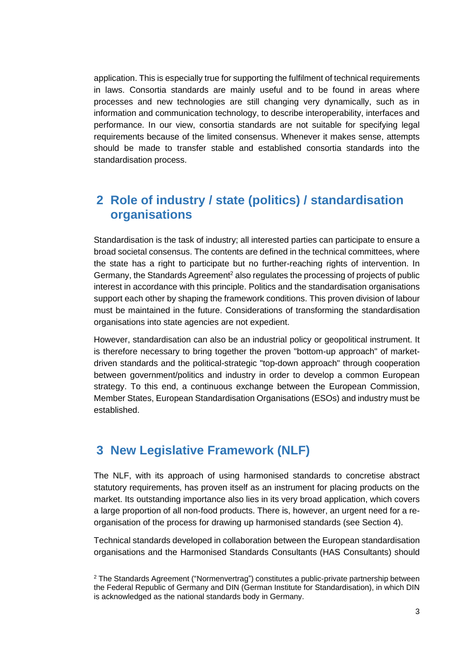application. This is especially true for supporting the fulfilment of technical requirements in laws. Consortia standards are mainly useful and to be found in areas where processes and new technologies are still changing very dynamically, such as in information and communication technology, to describe interoperability, interfaces and performance. In our view, consortia standards are not suitable for specifying legal requirements because of the limited consensus. Whenever it makes sense, attempts should be made to transfer stable and established consortia standards into the standardisation process.

#### **2 Role of industry / state (politics) / standardisation organisations**

Standardisation is the task of industry; all interested parties can participate to ensure a broad societal consensus. The contents are defined in the technical committees, where the state has a right to participate but no further-reaching rights of intervention. In Germany, the Standards Agreement<sup>2</sup> also regulates the processing of projects of public interest in accordance with this principle. Politics and the standardisation organisations support each other by shaping the framework conditions. This proven division of labour must be maintained in the future. Considerations of transforming the standardisation organisations into state agencies are not expedient.

However, standardisation can also be an industrial policy or geopolitical instrument. It is therefore necessary to bring together the proven "bottom-up approach" of marketdriven standards and the political-strategic "top-down approach" through cooperation between government/politics and industry in order to develop a common European strategy. To this end, a continuous exchange between the European Commission, Member States, European Standardisation Organisations (ESOs) and industry must be established.

#### **3 New Legislative Framework (NLF)**

The NLF, with its approach of using harmonised standards to concretise abstract statutory requirements, has proven itself as an instrument for placing products on the market. Its outstanding importance also lies in its very broad application, which covers a large proportion of all non-food products. There is, however, an urgent need for a reorganisation of the process for drawing up harmonised standards (see Section 4).

Technical standards developed in collaboration between the European standardisation organisations and the Harmonised Standards Consultants (HAS Consultants) should

<sup>2</sup> The Standards Agreement ("Normenvertrag") constitutes a public-private partnership between the Federal Republic of Germany and DIN (German Institute for Standardisation), in which DIN is acknowledged as the national standards body in Germany.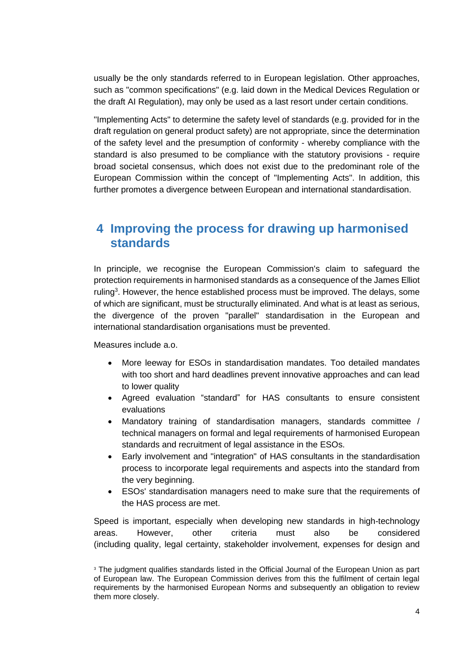usually be the only standards referred to in European legislation. Other approaches, such as "common specifications" (e.g. laid down in the Medical Devices Regulation or the draft AI Regulation), may only be used as a last resort under certain conditions.

"Implementing Acts" to determine the safety level of standards (e.g. provided for in the draft regulation on general product safety) are not appropriate, since the determination of the safety level and the presumption of conformity - whereby compliance with the standard is also presumed to be compliance with the statutory provisions - require broad societal consensus, which does not exist due to the predominant role of the European Commission within the concept of "Implementing Acts". In addition, this further promotes a divergence between European and international standardisation.

#### **4 Improving the process for drawing up harmonised standards**

In principle, we recognise the European Commission's claim to safeguard the protection requirements in harmonised standards as a consequence of the James Elliot ruling<sup>3</sup>. However, the hence established process must be improved. The delays, some of which are significant, must be structurally eliminated. And what is at least as serious, the divergence of the proven "parallel" standardisation in the European and international standardisation organisations must be prevented.

Measures include a.o.

- More leeway for ESOs in standardisation mandates. Too detailed mandates with too short and hard deadlines prevent innovative approaches and can lead to lower quality
- Agreed evaluation "standard" for HAS consultants to ensure consistent evaluations
- Mandatory training of standardisation managers, standards committee / technical managers on formal and legal requirements of harmonised European standards and recruitment of legal assistance in the ESOs.
- Early involvement and "integration" of HAS consultants in the standardisation process to incorporate legal requirements and aspects into the standard from the very beginning.
- ESOs' standardisation managers need to make sure that the requirements of the HAS process are met.

Speed is important, especially when developing new standards in high-technology areas. However, other criteria must also be considered (including quality, legal certainty, stakeholder involvement, expenses for design and

<sup>&</sup>lt;sup>3</sup> The judgment qualifies standards listed in the Official Journal of the European Union as part of European law. The European Commission derives from this the fulfilment of certain legal requirements by the harmonised European Norms and subsequently an obligation to review them more closely.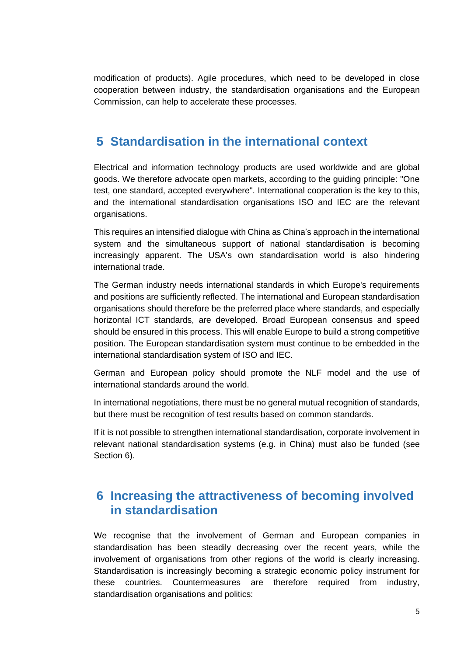modification of products). Agile procedures, which need to be developed in close cooperation between industry, the standardisation organisations and the European Commission, can help to accelerate these processes.

#### **5 Standardisation in the international context**

Electrical and information technology products are used worldwide and are global goods. We therefore advocate open markets, according to the guiding principle: "One test, one standard, accepted everywhere". International cooperation is the key to this, and the international standardisation organisations ISO and IEC are the relevant organisations.

This requires an intensified dialogue with China as China's approach in the international system and the simultaneous support of national standardisation is becoming increasingly apparent. The USA's own standardisation world is also hindering international trade.

The German industry needs international standards in which Europe's requirements and positions are sufficiently reflected. The international and European standardisation organisations should therefore be the preferred place where standards, and especially horizontal ICT standards, are developed. Broad European consensus and speed should be ensured in this process. This will enable Europe to build a strong competitive position. The European standardisation system must continue to be embedded in the international standardisation system of ISO and IEC.

German and European policy should promote the NLF model and the use of international standards around the world.

In international negotiations, there must be no general mutual recognition of standards, but there must be recognition of test results based on common standards.

If it is not possible to strengthen international standardisation, corporate involvement in relevant national standardisation systems (e.g. in China) must also be funded (see Section 6).

## **6 Increasing the attractiveness of becoming involved in standardisation**

We recognise that the involvement of German and European companies in standardisation has been steadily decreasing over the recent years, while the involvement of organisations from other regions of the world is clearly increasing. Standardisation is increasingly becoming a strategic economic policy instrument for these countries. Countermeasures are therefore required from industry, standardisation organisations and politics: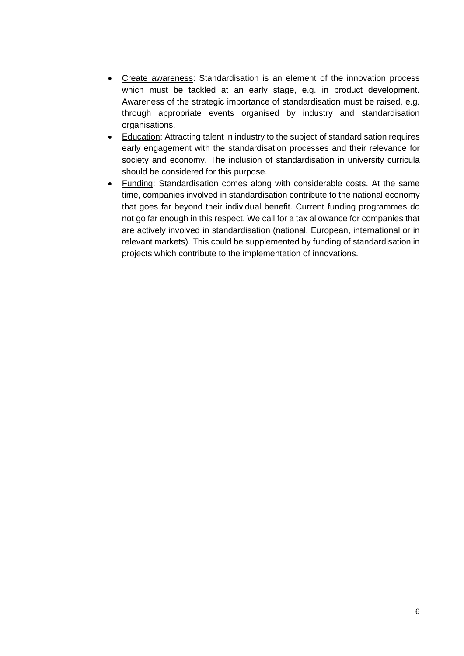- Create awareness: Standardisation is an element of the innovation process which must be tackled at an early stage, e.g. in product development. Awareness of the strategic importance of standardisation must be raised, e.g. through appropriate events organised by industry and standardisation organisations.
- Education: Attracting talent in industry to the subject of standardisation requires early engagement with the standardisation processes and their relevance for society and economy. The inclusion of standardisation in university curricula should be considered for this purpose.
- Funding: Standardisation comes along with considerable costs. At the same time, companies involved in standardisation contribute to the national economy that goes far beyond their individual benefit. Current funding programmes do not go far enough in this respect. We call for a tax allowance for companies that are actively involved in standardisation (national, European, international or in relevant markets). This could be supplemented by funding of standardisation in projects which contribute to the implementation of innovations.